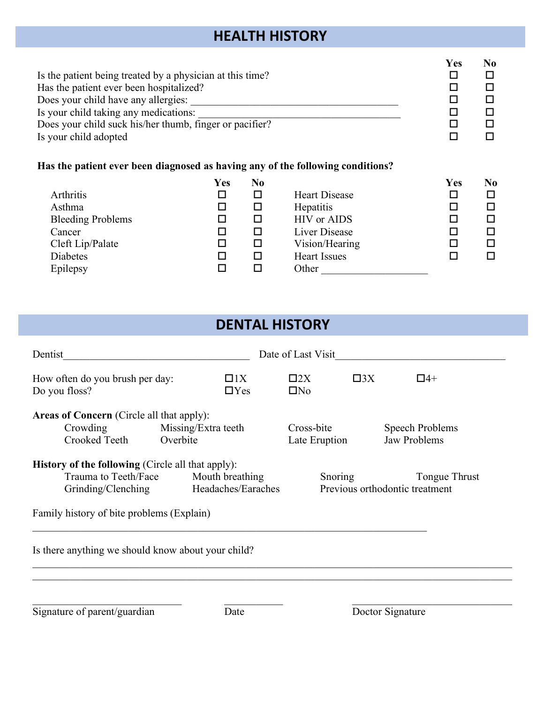## **HEALTH HISTORY**

| Is the patient being treated by a physician at this time?<br>Has the patient ever been hospitalized?<br>Does your child have any allergies:<br>Is your child taking any medications:<br>Does your child suck his/her thumb, finger or pacifier?<br>Is your child adopted |     |                |                      |     | N <sub>0</sub><br>□<br>□<br>□<br>□<br>П |
|--------------------------------------------------------------------------------------------------------------------------------------------------------------------------------------------------------------------------------------------------------------------------|-----|----------------|----------------------|-----|-----------------------------------------|
| Has the patient ever been diagnosed as having any of the following conditions?                                                                                                                                                                                           |     |                |                      |     |                                         |
|                                                                                                                                                                                                                                                                          | Yes | N <sub>0</sub> |                      | Yes | N <sub>0</sub>                          |
| Arthritis                                                                                                                                                                                                                                                                | □   | □              | <b>Heart Disease</b> | □   | □                                       |
| Asthma                                                                                                                                                                                                                                                                   | □   | п              | <b>Hepatitis</b>     | □   | □                                       |
| <b>Bleeding Problems</b>                                                                                                                                                                                                                                                 | □   | □              | <b>HIV</b> or AIDS   | □   | □                                       |
| Cancer                                                                                                                                                                                                                                                                   | □   | □              | <b>Liver Disease</b> | □   | □                                       |
| Cleft Lip/Palate                                                                                                                                                                                                                                                         | □   | ◻              | Vision/Hearing       | П   | □                                       |
| <b>Diabetes</b>                                                                                                                                                                                                                                                          | П   | п              | <b>Heart Issues</b>  | П   | П                                       |
| Epilepsy                                                                                                                                                                                                                                                                 | □   | П              | Other                |     |                                         |

## **DENTAL HISTORY**

| Dentist                                                                                                |                                       | Date of Last Visit        |                                        |                                                 |  |  |
|--------------------------------------------------------------------------------------------------------|---------------------------------------|---------------------------|----------------------------------------|-------------------------------------------------|--|--|
| How often do you brush per day:<br>Do you floss?                                                       | $\Box$ 1X<br>$\Box$ Yes               | $\square 2X$<br>$\Box$ No | $\square 3X$                           | $\Box$ 4+                                       |  |  |
| <b>Areas of Concern</b> (Circle all that apply):<br>Crowding<br>Crooked Teeth                          | Cross-bite<br>Late Eruption           |                           | Speech Problems<br><b>Jaw Problems</b> |                                                 |  |  |
| <b>History of the following (Circle all that apply):</b><br>Trauma to Teeth/Face<br>Grinding/Clenching | Mouth breathing<br>Headaches/Earaches | Snoring                   |                                        | Tongue Thrust<br>Previous orthodontic treatment |  |  |
| Family history of bite problems (Explain)                                                              |                                       |                           |                                        |                                                 |  |  |
| Is there anything we should know about your child?                                                     |                                       |                           |                                        |                                                 |  |  |
|                                                                                                        |                                       |                           |                                        |                                                 |  |  |

Signature of parent/guardian Date Doctor Signature